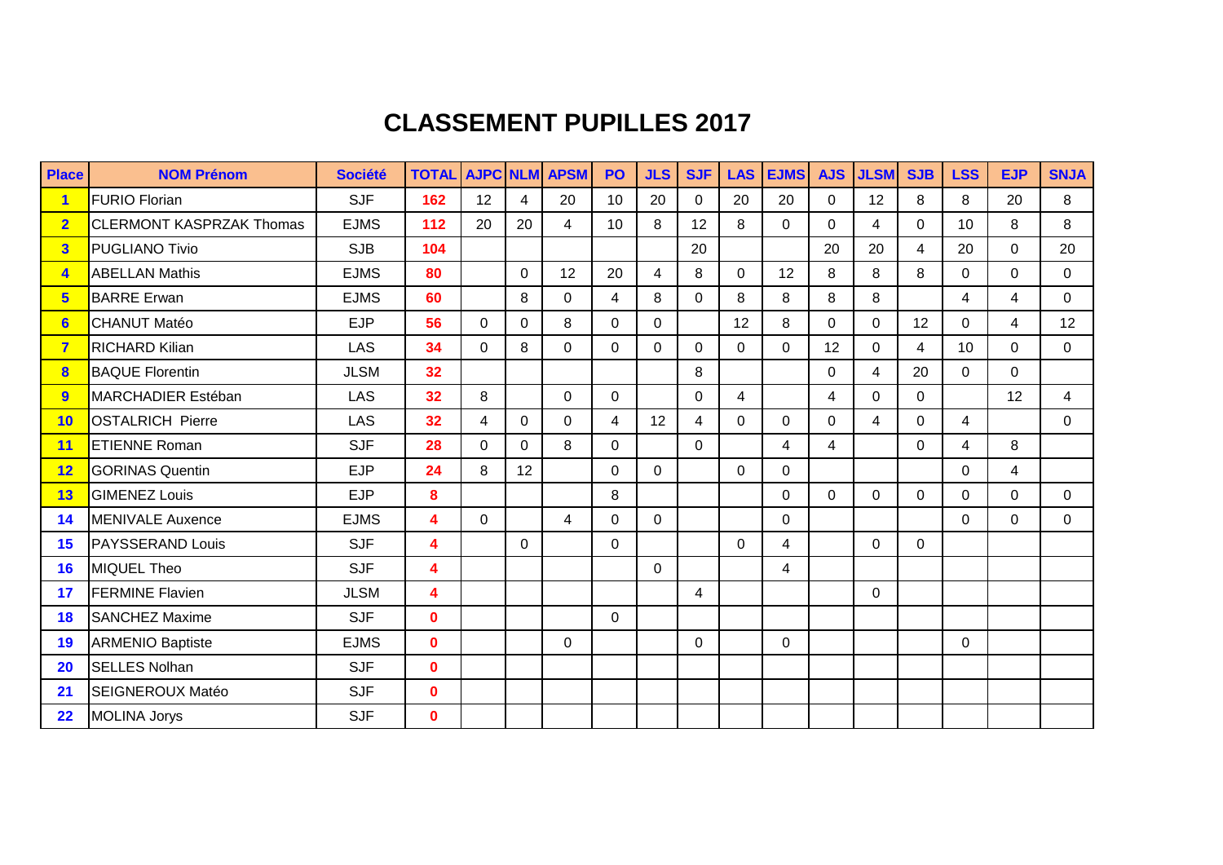## **CLASSEMENT PUPILLES 2017**

| <b>Place</b>            | <b>NOM Prénom</b>               | <b>Société</b> | <b>TOTAL AJPC NLM APSM</b> |             |                |                | <b>PO</b>      | <b>JLS</b>     | <b>SJF</b>     | <b>LAS</b>              | <b>EJMS</b> | <b>AJS</b>     | <b>JLSM</b>    | <b>SJB</b>     | <b>LSS</b>      | <b>EJP</b>     | <b>SNJA</b>    |
|-------------------------|---------------------------------|----------------|----------------------------|-------------|----------------|----------------|----------------|----------------|----------------|-------------------------|-------------|----------------|----------------|----------------|-----------------|----------------|----------------|
| $\mathbf{1}$            | <b>FURIO Florian</b>            | <b>SJF</b>     | 162                        | 12          | $\overline{4}$ | 20             | 10             | 20             | $\Omega$       | 20                      | 20          | $\overline{0}$ | 12             | 8              | 8               | 20             | 8              |
| $\overline{2}$          | <b>CLERMONT KASPRZAK Thomas</b> | <b>EJMS</b>    | 112                        | 20          | 20             | $\overline{4}$ | 10             | 8              | 12             | 8                       | $\Omega$    | $\Omega$       | $\overline{4}$ | $\Omega$       | 10              | 8              | 8              |
| 3                       | <b>PUGLIANO Tivio</b>           | <b>SJB</b>     | 104                        |             |                |                |                |                | 20             |                         |             | 20             | 20             | 4              | 20              | 0              | 20             |
| $\overline{\mathbf{4}}$ | <b>ABELLAN Mathis</b>           | <b>EJMS</b>    | 80                         |             | 0              | 12             | 20             | 4              | 8              | $\mathbf{0}$            | 12          | 8              | 8              | 8              | $\mathbf{0}$    | 0              | $\mathbf{0}$   |
| 5 <sup>5</sup>          | <b>BARRE Erwan</b>              | <b>EJMS</b>    | 60                         |             | 8              | $\Omega$       | $\overline{4}$ | 8              | $\Omega$       | 8                       | 8           | 8              | 8              |                | 4               | $\overline{4}$ | $\overline{0}$ |
| 6                       | CHANUT Matéo                    | <b>EJP</b>     | 56                         | $\Omega$    | $\mathbf{0}$   | 8              | $\overline{0}$ | $\Omega$       |                | 12                      | 8           | $\Omega$       | $\overline{0}$ | 12             | $\Omega$        | 4              | 12             |
| $\overline{7}$          | <b>RICHARD Kilian</b>           | LAS            | 34                         | $\Omega$    | 8              | $\Omega$       | $\Omega$       | $\Omega$       | $\Omega$       | $\Omega$                | $\Omega$    | 12             | $\Omega$       | $\overline{4}$ | 10 <sup>°</sup> | 0              | $\Omega$       |
| $\overline{\mathbf{8}}$ | <b>BAQUE Florentin</b>          | <b>JLSM</b>    | 32                         |             |                |                |                |                | 8              |                         |             | $\Omega$       | $\overline{4}$ | 20             | $\Omega$        | $\Omega$       |                |
| 9                       | MARCHADIER Estéban              | LAS            | 32                         | 8           |                | $\mathbf 0$    | $\overline{0}$ |                | $\Omega$       | $\overline{\mathbf{4}}$ |             | $\overline{4}$ | $\Omega$       | $\Omega$       |                 | 12             | $\overline{4}$ |
| 10                      | <b>OSTALRICH Pierre</b>         | LAS            | 32                         | 4           | $\overline{0}$ | $\Omega$       | $\overline{4}$ | 12             | $\overline{4}$ | $\Omega$                | $\Omega$    | $\overline{0}$ | $\overline{4}$ | $\Omega$       | $\overline{4}$  |                | $\mathbf{0}$   |
| 11                      | <b>ETIENNE Roman</b>            | <b>SJF</b>     | 28                         | $\Omega$    | $\Omega$       | 8              | $\Omega$       |                | $\Omega$       |                         | 4           | $\overline{4}$ |                | $\Omega$       | 4               | 8              |                |
| 12                      | <b>GORINAS Quentin</b>          | <b>EJP</b>     | 24                         | 8           | 12             |                | $\overline{0}$ | $\mathbf{0}$   |                | $\Omega$                | $\Omega$    |                |                |                | $\mathbf 0$     | 4              |                |
| 13                      | <b>GIMENEZ Louis</b>            | <b>EJP</b>     | 8                          |             |                |                | 8              |                |                |                         | $\Omega$    | $\Omega$       | $\Omega$       | $\Omega$       | $\Omega$        | 0              | $\mathbf 0$    |
| 14                      | <b>MENIVALE Auxence</b>         | <b>EJMS</b>    | 4                          | $\mathbf 0$ |                | $\overline{4}$ | $\overline{0}$ | $\overline{0}$ |                |                         | $\Omega$    |                |                |                | $\Omega$        | $\Omega$       | $\Omega$       |
| 15                      | <b>PAYSSERAND Louis</b>         | <b>SJF</b>     | 4                          |             | 0              |                | $\Omega$       |                |                | $\Omega$                | 4           |                | $\mathbf 0$    | $\Omega$       |                 |                |                |
| 16                      | <b>MIQUEL Theo</b>              | <b>SJF</b>     | 4                          |             |                |                |                | $\Omega$       |                |                         | 4           |                |                |                |                 |                |                |
| 17                      | <b>FERMINE Flavien</b>          | <b>JLSM</b>    | 4                          |             |                |                |                |                | $\overline{4}$ |                         |             |                | $\mathbf 0$    |                |                 |                |                |
| 18                      | <b>SANCHEZ Maxime</b>           | <b>SJF</b>     | $\mathbf{0}$               |             |                |                | $\Omega$       |                |                |                         |             |                |                |                |                 |                |                |
| 19                      | <b>ARMENIO Baptiste</b>         | <b>EJMS</b>    | $\mathbf{0}$               |             |                | $\Omega$       |                |                | $\Omega$       |                         | $\Omega$    |                |                |                | $\Omega$        |                |                |
| <b>20</b>               | <b>SELLES Nolhan</b>            | <b>SJF</b>     | $\mathbf{0}$               |             |                |                |                |                |                |                         |             |                |                |                |                 |                |                |
| 21                      | SEIGNEROUX Matéo                | <b>SJF</b>     | $\mathbf{0}$               |             |                |                |                |                |                |                         |             |                |                |                |                 |                |                |
| 22                      | <b>MOLINA Jorys</b>             | <b>SJF</b>     | $\mathbf{0}$               |             |                |                |                |                |                |                         |             |                |                |                |                 |                |                |